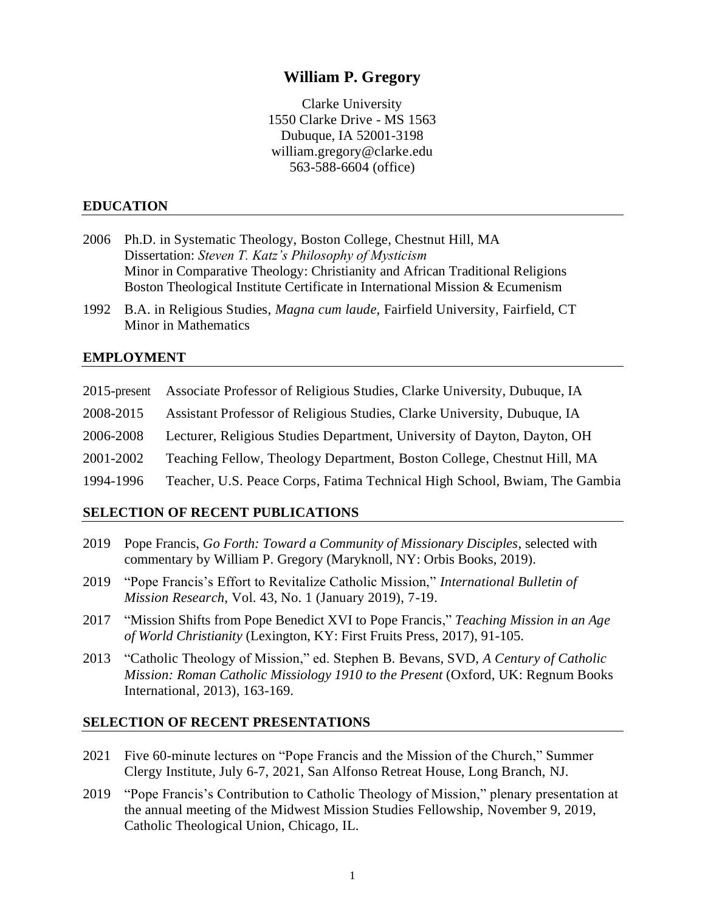# **William P. Gregory**

Clarke University 1550 Clarke Drive - MS 1563 Dubuque, IA 52001-3198 william.gregory@clarke.edu 563-588-6604 (office)

### **EDUCATION**

- 2006 Ph.D. in Systematic Theology, Boston College, Chestnut Hill, MA Dissertation: *Steven T. Katz's Philosophy of Mysticism* Minor in Comparative Theology: Christianity and African Traditional Religions Boston Theological Institute Certificate in International Mission & Ecumenism
- 1992 B.A. in Religious Studies, *Magna cum laude*, Fairfield University, Fairfield, CT Minor in Mathematics

#### **EMPLOYMENT**

| $2015$ -present | Associate Professor of Religious Studies, Clarke University, Dubuque, IA   |
|-----------------|----------------------------------------------------------------------------|
| 2008-2015       | Assistant Professor of Religious Studies, Clarke University, Dubuque, IA   |
| 2006-2008       | Lecturer, Religious Studies Department, University of Dayton, Dayton, OH   |
| 2001-2002       | Teaching Fellow, Theology Department, Boston College, Chestnut Hill, MA    |
| 1994-1996       | Teacher, U.S. Peace Corps, Fatima Technical High School, Bwiam, The Gambia |

#### **SELECTION OF RECENT PUBLICATIONS**

- 2019 Pope Francis, *Go Forth: Toward a Community of Missionary Disciples*, selected with commentary by William P. Gregory (Maryknoll, NY: Orbis Books, 2019).
- 2019 "Pope Francis's Effort to Revitalize Catholic Mission," *International Bulletin of Mission Research*, Vol. 43, No. 1 (January 2019), 7-19.
- 2017 "Mission Shifts from Pope Benedict XVI to Pope Francis," *Teaching Mission in an Age of World Christianity* (Lexington, KY: First Fruits Press, 2017), 91-105.
- 2013 "Catholic Theology of Mission," ed. Stephen B. Bevans, SVD, *A Century of Catholic Mission: Roman Catholic Missiology 1910 to the Present* (Oxford, UK: Regnum Books International, 2013), 163-169.

#### **SELECTION OF RECENT PRESENTATIONS**

- 2021 Five 60-minute lectures on "Pope Francis and the Mission of the Church," Summer Clergy Institute, July 6-7, 2021, San Alfonso Retreat House, Long Branch, NJ.
- 2019 "Pope Francis's Contribution to Catholic Theology of Mission," plenary presentation at the annual meeting of the Midwest Mission Studies Fellowship, November 9, 2019, Catholic Theological Union, Chicago, IL.